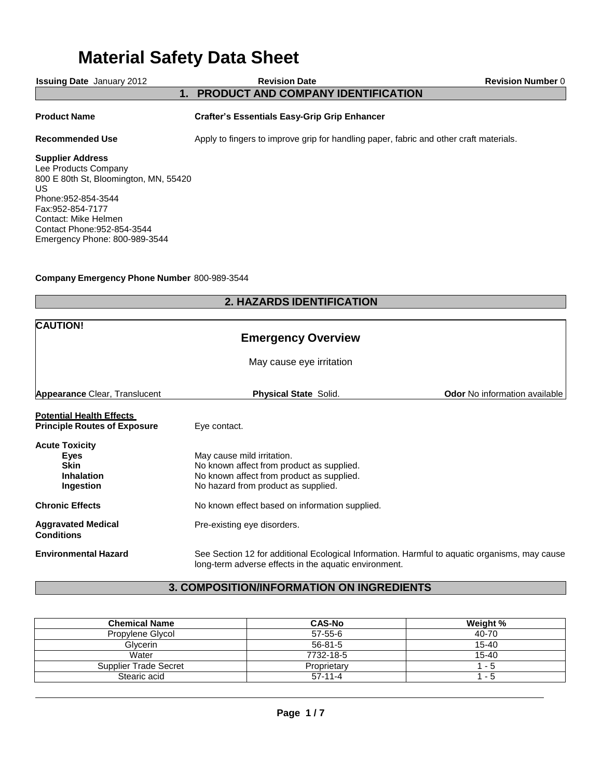# **Material Safety Data Sheet**

| <b>Issuing Date</b> January 2012                                                                                                                                                                                                    | <b>Revision Date</b>                                                                   | <b>Revision Number 0</b> |
|-------------------------------------------------------------------------------------------------------------------------------------------------------------------------------------------------------------------------------------|----------------------------------------------------------------------------------------|--------------------------|
| $\mathbf 1$ .                                                                                                                                                                                                                       | <b>PRODUCT AND COMPANY IDENTIFICATION</b>                                              |                          |
| <b>Product Name</b>                                                                                                                                                                                                                 | <b>Crafter's Essentials Easy-Grip Grip Enhancer</b>                                    |                          |
| <b>Recommended Use</b>                                                                                                                                                                                                              | Apply to fingers to improve grip for handling paper, fabric and other craft materials. |                          |
| <b>Supplier Address</b><br>Lee Products Company<br>800 E 80th St, Bloomington, MN, 55420<br>US.<br>Phone: 952-854-3544<br>Fax: 952-854-7177<br>Contact: Mike Helmen<br>Contact Phone: 952-854-3544<br>Emergency Phone: 800-989-3544 |                                                                                        |                          |

# **Company Emergency Phone Number** 800-989-3544

# **2. HAZARDS IDENTIFICATION**

| <b>CAUTION!</b><br><b>Emergency Overview</b><br>May cause eye irritation       |                                                                                                                                                             |                                      |  |
|--------------------------------------------------------------------------------|-------------------------------------------------------------------------------------------------------------------------------------------------------------|--------------------------------------|--|
| <b>Appearance Clear, Translucent</b>                                           | <b>Physical State Solid.</b>                                                                                                                                | <b>Odor</b> No information available |  |
| <b>Potential Health Effects</b><br><b>Principle Routes of Exposure</b>         | Eye contact.                                                                                                                                                |                                      |  |
| <b>Acute Toxicity</b><br>Eyes<br><b>Skin</b><br><b>Inhalation</b><br>Ingestion | May cause mild irritation.<br>No known affect from product as supplied.<br>No known affect from product as supplied.<br>No hazard from product as supplied. |                                      |  |
| <b>Chronic Effects</b>                                                         | No known effect based on information supplied.                                                                                                              |                                      |  |
| <b>Aggravated Medical</b><br><b>Conditions</b>                                 | Pre-existing eye disorders.                                                                                                                                 |                                      |  |
| <b>Environmental Hazard</b>                                                    | See Section 12 for additional Ecological Information. Harmful to aquatic organisms, may cause<br>long-term adverse effects in the aquatic environment.      |                                      |  |

# **3. COMPOSITION/INFORMATION ON INGREDIENTS**

| <b>Chemical Name</b>  | <b>CAS-No</b> | Weight %  |
|-----------------------|---------------|-----------|
| Propylene Glycol      | 57-55-6       | 40-70     |
| Glycerin              | $56-81-5$     | $15 - 40$ |
| Water                 | 7732-18-5     | $15 - 40$ |
| Supplier Trade Secret | Proprietary   | - 5       |
| Stearic acid          | $57-11-4$     | - 5       |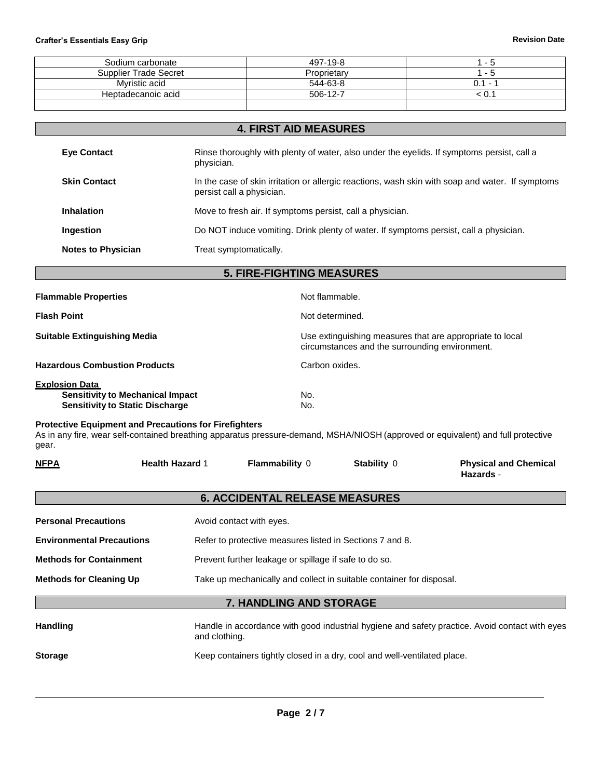| Sodium carbonate      | 497-19-8    | - 5                             |
|-----------------------|-------------|---------------------------------|
| Supplier Trade Secret | Proprietary | ` - ວ                           |
| Mvristic acid         | 544-63-8    | 0.1<br>$\overline{\phantom{a}}$ |
| Heptadecanoic acid    | 506-12-7    | < ∪.∵                           |
|                       |             |                                 |

| <b>4. FIRST AID MEASURES</b> |                                                                                                                               |  |  |
|------------------------------|-------------------------------------------------------------------------------------------------------------------------------|--|--|
| <b>Eve Contact</b>           | Rinse thoroughly with plenty of water, also under the eyelids. If symptoms persist, call a<br>physician.                      |  |  |
| <b>Skin Contact</b>          | In the case of skin irritation or allergic reactions, wash skin with soap and water. If symptoms<br>persist call a physician. |  |  |
| <b>Inhalation</b>            | Move to fresh air. If symptoms persist, call a physician.                                                                     |  |  |
| Ingestion                    | Do NOT induce vomiting. Drink plenty of water. If symptoms persist, call a physician.                                         |  |  |
| <b>Notes to Physician</b>    | Treat symptomatically.                                                                                                        |  |  |

**5. FIRE-FIGHTING MEASURES**

| <b>Flammable Properties</b>                                                                                | Not flammable.                                                                                             |
|------------------------------------------------------------------------------------------------------------|------------------------------------------------------------------------------------------------------------|
| <b>Flash Point</b>                                                                                         | Not determined.                                                                                            |
| <b>Suitable Extinguishing Media</b>                                                                        | Use extinguishing measures that are appropriate to local<br>circumstances and the surrounding environment. |
| <b>Hazardous Combustion Products</b>                                                                       | Carbon oxides.                                                                                             |
| <b>Explosion Data</b><br><b>Sensitivity to Mechanical Impact</b><br><b>Sensitivity to Static Discharge</b> | No.<br>No.                                                                                                 |

# **Protective Equipment and Precautions for Firefighters**

As in any fire, wear self-contained breathing apparatus pressure-demand, MSHA/NIOSH (approved or equivalent) and full protective gear.

| <b>NFPA</b>                      | <b>Health Hazard 1</b> | Flammability 0                                                           | Stability 0 | <b>Physical and Chemical</b><br>Hazards -                                                      |
|----------------------------------|------------------------|--------------------------------------------------------------------------|-------------|------------------------------------------------------------------------------------------------|
|                                  |                        | <b>6. ACCIDENTAL RELEASE MEASURES</b>                                    |             |                                                                                                |
| <b>Personal Precautions</b>      |                        | Avoid contact with eyes.                                                 |             |                                                                                                |
| <b>Environmental Precautions</b> |                        | Refer to protective measures listed in Sections 7 and 8.                 |             |                                                                                                |
| <b>Methods for Containment</b>   |                        | Prevent further leakage or spillage if safe to do so.                    |             |                                                                                                |
| <b>Methods for Cleaning Up</b>   |                        | Take up mechanically and collect in suitable container for disposal.     |             |                                                                                                |
|                                  |                        | 7. HANDLING AND STORAGE                                                  |             |                                                                                                |
| <b>Handling</b>                  | and clothing.          |                                                                          |             | Handle in accordance with good industrial hygiene and safety practice. Avoid contact with eyes |
| <b>Storage</b>                   |                        | Keep containers tightly closed in a dry, cool and well-ventilated place. |             |                                                                                                |
|                                  |                        |                                                                          |             |                                                                                                |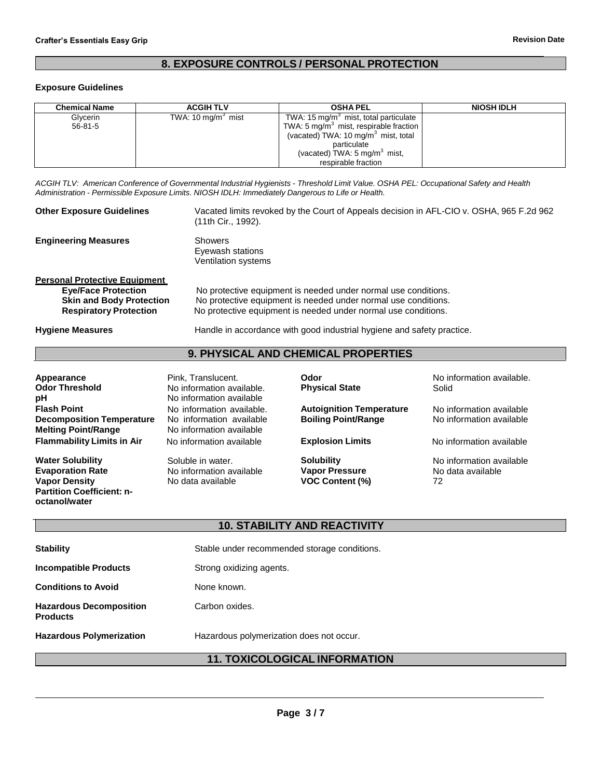# **8. EXPOSURE CONTROLS / PERSONAL PROTECTION**

#### **Exposure Guidelines**

**octanol/water**

| Chemical Name | <b>ACGIH TLV</b>              | <b>OSHA PEL</b>                                   | <b>NIOSH IDLH</b> |
|---------------|-------------------------------|---------------------------------------------------|-------------------|
| Glycerin      | TWA: $10 \text{ mg/m}^3$ mist | TWA: 15 mg/m <sup>3</sup> mist, total particulate |                   |
| $56 - 81 - 5$ |                               | TWA: 5 $mg/m3$ mist, respirable fraction          |                   |
|               |                               | (vacated) TWA: 10 mg/m <sup>3</sup> mist, total   |                   |
|               |                               | particulate                                       |                   |
|               |                               | (vacated) TWA: $5 \text{ mg/m}^3$ mist,           |                   |
|               |                               | respirable fraction                               |                   |

ACGIH TLV: American Conference of Governmental Industrial Hygienists - Threshold Limit Value. OSHA PEL: Occupational Safety and Health *Administration - Permissible Exposure Limits. NIOSH IDLH: Immediately Dangerous to Life or Health.*

| <b>Other Exposure Guidelines</b>                                                                                                       | Vacated limits revoked by the Court of Appeals decision in AFL-CIO v. OSHA, 965 F.2d 962<br>(11th Cir., 1992).                                                                                     |
|----------------------------------------------------------------------------------------------------------------------------------------|----------------------------------------------------------------------------------------------------------------------------------------------------------------------------------------------------|
| <b>Engineering Measures</b>                                                                                                            | Showers<br>Eyewash stations<br><b>Ventilation systems</b>                                                                                                                                          |
| <b>Personal Protective Equipment</b><br><b>Eye/Face Protection</b><br><b>Skin and Body Protection</b><br><b>Respiratory Protection</b> | No protective equipment is needed under normal use conditions.<br>No protective equipment is needed under normal use conditions.<br>No protective equipment is needed under normal use conditions. |
| <b>Hygiene Measures</b>                                                                                                                | Handle in accordance with good industrial hygiene and safety practice.                                                                                                                             |

# **9. PHYSICAL AND CHEMICAL PROPERTIES**

| Appearance                        | Pink, Translucent.        | Odor                            | No information available. |
|-----------------------------------|---------------------------|---------------------------------|---------------------------|
| <b>Odor Threshold</b>             | No information available. | <b>Physical State</b>           | Solid                     |
| рH                                | No information available  |                                 |                           |
| <b>Flash Point</b>                | No information available. | <b>Autoignition Temperature</b> | No information available  |
| <b>Decomposition Temperature</b>  | No information available  | <b>Boiling Point/Range</b>      | No information available  |
| <b>Melting Point/Range</b>        | No information available  |                                 |                           |
| <b>Flammability Limits in Air</b> | No information available  | <b>Explosion Limits</b>         | No information available  |
| <b>Water Solubility</b>           | Soluble in water.         | <b>Solubility</b>               | No information available  |
| <b>Evaporation Rate</b>           | No information available  | <b>Vapor Pressure</b>           | No data available         |
| <b>Vapor Density</b>              | No data available         | <b>VOC Content (%)</b>          | 72                        |
| <b>Partition Coefficient: n-</b>  |                           |                                 |                           |

# **10. STABILITY AND REACTIVITY**

| <b>Stability</b>                                  | Stable under recommended storage conditions. |
|---------------------------------------------------|----------------------------------------------|
| <b>Incompatible Products</b>                      | Strong oxidizing agents.                     |
| <b>Conditions to Avoid</b>                        | None known.                                  |
| <b>Hazardous Decomposition</b><br><b>Products</b> | Carbon oxides.                               |
| <b>Hazardous Polymerization</b>                   | Hazardous polymerization does not occur.     |

# **11. TOXICOLOGICAL INFORMATION**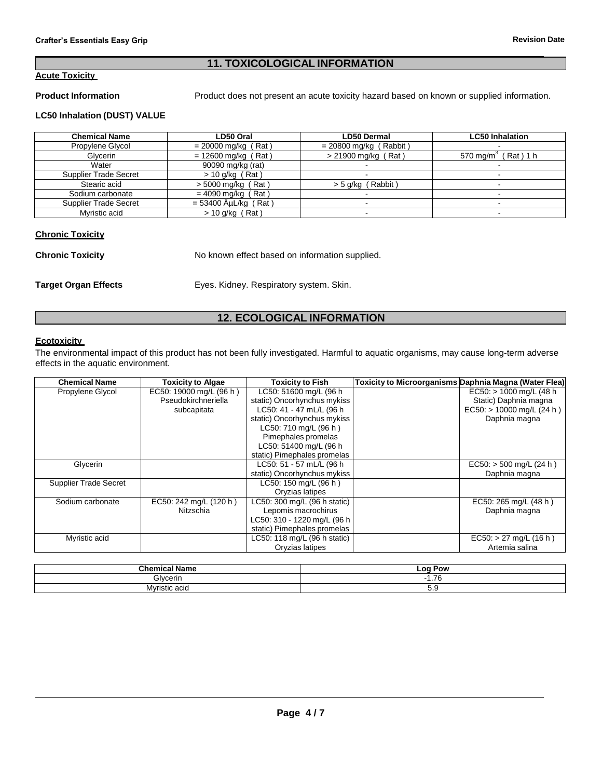# **11. TOXICOLOGICAL INFORMATION**

# **Acute Toxicity**

**Product Information** Product does not present an acute toxicity hazard based on known or supplied information.

## **LC50 Inhalation (DUST) VALUE**

| <b>Chemical Name</b>         | LD50 Oral                | <b>LD50 Dermal</b>       | <b>LC50 Inhalation</b>          |
|------------------------------|--------------------------|--------------------------|---------------------------------|
| Propylene Glycol             | $= 20000$ mg/kg (Rat)    | $= 20800$ mg/kg (Rabbit) |                                 |
| Glycerin                     | $= 12600$ mg/kg (Rat)    | > 21900 mg/kg (Rat)      | 570 mg/m <sup>3</sup> (Rat) 1 h |
| Water                        | 90090 mg/kg (rat)        |                          |                                 |
| <b>Supplier Trade Secret</b> | $>$ 10 g/kg (Rat)        |                          |                                 |
| Stearic acid                 | $> 5000$ mg/kg (<br>Rat) | > 5 g/kg (Rabbit)        |                                 |
| Sodium carbonate             | Rat)<br>$= 4090$ mg/kg ( |                          |                                 |
| Supplier Trade Secret        | = 53400 ĵL/kg<br>(Rat )  |                          |                                 |
| Myristic acid                | $>$ 10 g/kg (Rat)        |                          |                                 |

# **Chronic Toxicity**

| <b>Chronic Toxicity</b>     | No known effect based on information supplied. |
|-----------------------------|------------------------------------------------|
| <b>Target Organ Effects</b> | Eyes. Kidney. Respiratory system. Skin.        |

# **12. ECOLOGICAL INFORMATION**

# **Ecotoxicity**

The environmental impact of this product has not been fully investigated. Harmful to aquatic organisms, may cause long-term adverse effects in the aquatic environment.

| <b>Chemical Name</b>         | <b>Toxicity to Algae</b> | <b>Toxicity to Fish</b>      | Toxicity to Microorganisms Daphnia Magna (Water Flea) |
|------------------------------|--------------------------|------------------------------|-------------------------------------------------------|
| Propylene Glycol             | EC50: 19000 mg/L (96 h)  | LC50: 51600 mg/L (96 h       | $EC50:$ > 1000 mg/L (48 h)                            |
|                              | Pseudokirchneriella      | static) Oncorhynchus mykiss  | Static) Daphnia magna                                 |
|                              | subcapitata              | LC50: 41 - 47 mL/L (96 h     | $EC50:$ > 10000 mg/L (24 h)                           |
|                              |                          | static) Oncorhynchus mykiss  | Daphnia magna                                         |
|                              |                          | LC50: 710 mg/L (96 h)        |                                                       |
|                              |                          | Pimephales promelas          |                                                       |
|                              |                          | LC50: 51400 mg/L (96 h       |                                                       |
|                              |                          | static) Pimephales promelas  |                                                       |
| Glycerin                     |                          | LC50: 51 - 57 mL/L (96 h     | $EC50:$ > 500 mg/L (24 h)                             |
|                              |                          | static) Oncorhynchus mykiss  | Daphnia magna                                         |
| <b>Supplier Trade Secret</b> |                          | LC50: 150 mg/L (96 h)        |                                                       |
|                              |                          | Oryzias latipes              |                                                       |
| Sodium carbonate             | EC50: 242 mg/L (120 h)   | LC50: 300 mg/L (96 h static) | EC50: 265 mg/L (48 h)                                 |
|                              | Nitzschia                | Lepomis macrochirus          | Daphnia magna                                         |
|                              |                          | LC50: 310 - 1220 mg/L (96 h  |                                                       |
|                              |                          | static) Pimephales promelas  |                                                       |
| Myristic acid                |                          | LC50: 118 mg/L (96 h static) | $EC50:$ > 27 mg/L (16 h)                              |
|                              |                          | Oryzias latipes              | Artemia salina                                        |

| Chamu<br>Name   | <b>LOC</b><br>Pow        |
|-----------------|--------------------------|
| <b>Glvcerin</b> | $\rightarrow$<br><br>1.1 |
| Myristic acid   | ◡.◡                      |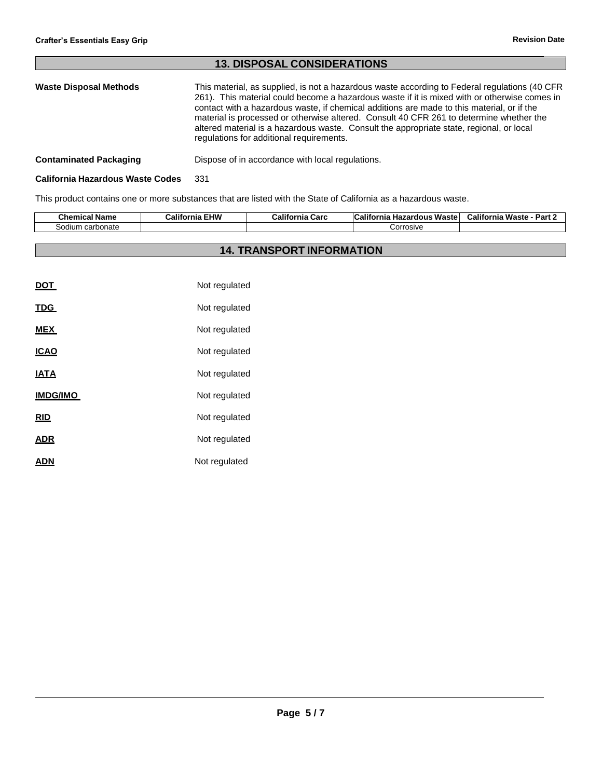# **13. DISPOSAL CONSIDERATIONS Waste Disposal Methods** This material, as supplied, is not a hazardous waste according to Federal regulations (40 CFR 261). This material could become a hazardous waste if it is mixed with or otherwise comes in contact with a hazardous waste, if chemical additions are made to this material, or if the material is processed or otherwise altered. Consult 40 CFR 261 to determine whether the altered material is a hazardous waste. Consult the appropriate state, regional, or local regulations for additional requirements.

# **Contaminated Packaging <b>Dispose** of in accordance with local regulations.

#### **California Hazardous Waste Codes** 331

This product contains one or more substances that are listed with the State of California as a hazardous waste.

| ---<br>Chemical Name | <b>EHW</b><br><br>California | California<br>Carc | $\ddot{\phantom{1}}$<br><b>California</b><br>Waste<br><b>zardous</b><br>⊔∼<br>пaл | .<br>Waste<br>Dort.<br>California<br>-dil . |
|----------------------|------------------------------|--------------------|-----------------------------------------------------------------------------------|---------------------------------------------|
| carbonate<br>30dium  |                              |                    | Corrosive                                                                         |                                             |

# **14. TRANSPORT INFORMATION**

| DOT             | Not regulated |
|-----------------|---------------|
| <b>TDG</b>      | Not regulated |
| <b>MEX</b>      | Not regulated |
| <b>ICAO</b>     | Not regulated |
| <b>IATA</b>     | Not regulated |
| <b>IMDG/IMO</b> | Not regulated |
| <u>RID</u>      | Not regulated |
| <u>ADR</u>      | Not regulated |
| ADN             | Not regulated |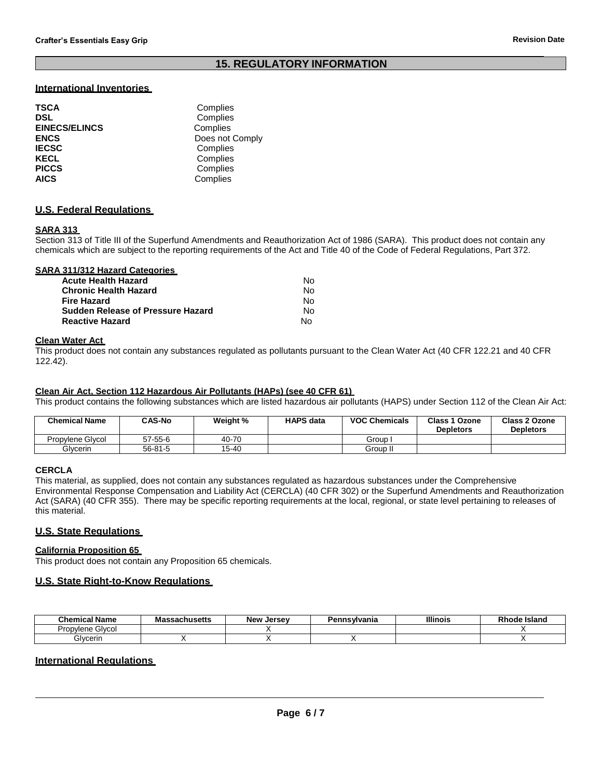# **15. REGULATORY INFORMATION**

## **International Inventories**

| <b>TSCA</b>          | Complies        |
|----------------------|-----------------|
| <b>DSL</b>           | Complies        |
| <b>EINECS/ELINCS</b> | Complies        |
| <b>ENCS</b>          | Does not Comply |
| <b>IECSC</b>         | Complies        |
| <b>KECL</b>          | Complies        |
| <b>PICCS</b>         | Complies        |
| <b>AICS</b>          | Complies        |

### **U.S. Federal Regulations**

## **SARA 313**

Section 313 of Title III of the Superfund Amendments and Reauthorization Act of 1986 (SARA). This product does not contain any chemicals which are subject to the reporting requirements of the Act and Title 40 of the Code of Federal Regulations, Part 372.

#### **SARA 311/312 Hazard Categories**

| Acute Health Hazard               | No. |
|-----------------------------------|-----|
| Chronic Health Hazard             | No. |
| Fire Hazard                       | No. |
| Sudden Release of Pressure Hazard | No. |
| <b>Reactive Hazard</b>            | N٥  |

#### **Clean Water Act**

This product does not contain any substances regulated as pollutants pursuant to the Clean Water Act (40 CFR 122.21 and 40 CFR 122.42).

#### **Clean Air Act, Section 112 Hazardous Air Pollutants (HAPs) (see 40 CFR 61)**

This product contains the following substances which are listed hazardous air pollutants (HAPS) under Section 112 of the Clean Air Act:

| <b>Chemical Name</b> | <b>CAS-No</b> | Weight % | <b>HAPS data</b> | <b>VOC Chemicals</b> | <b>Class 1 Ozone</b><br><b>Depletors</b> | Class 2 Ozone<br><b>Depletors</b> |
|----------------------|---------------|----------|------------------|----------------------|------------------------------------------|-----------------------------------|
| Propylene Glycol     | 57-55-6       | 40-70    |                  | Group                |                                          |                                   |
| Glvcerin             | 56-81-5       | 15-40    |                  | Group I <sub>I</sub> |                                          |                                   |

# **CERCLA**

This material, as supplied, does not contain any substances regulated as hazardous substances under the Comprehensive Environmental Response Compensation and Liability Act (CERCLA) (40 CFR 302) or the Superfund Amendments and Reauthorization Act (SARA) (40 CFR 355). There may be specific reporting requirements at the local, regional, or state level pertaining to releases of this material.

### **U.S. State Regulations**

# **California Proposition 65**

This product does not contain any Proposition 65 chemicals.

### **U.S. State Right-to-Know Regulations**

| <b>Chemical Name</b>         | cachucati<br>nustus | New<br>Jersev | าทรฟvania | <b>Illinois</b> | ⊧ Island<br>nı.<br>юое<br>`` |
|------------------------------|---------------------|---------------|-----------|-----------------|------------------------------|
| -<br>Givcol<br>Prop<br>vlene |                     |               |           |                 |                              |
| Glvcerin                     |                     |               |           |                 |                              |

# **International Regulations**